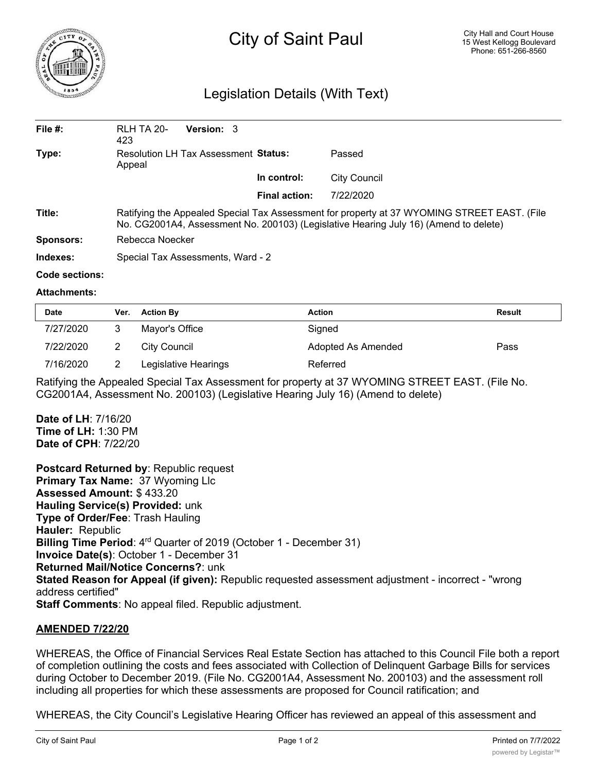

# Legislation Details (With Text)

| File $#$ : | <b>RLH TA 20-</b><br>423                                                                                                                                                            | <b>Version: 3</b> |                      |              |  |  |
|------------|-------------------------------------------------------------------------------------------------------------------------------------------------------------------------------------|-------------------|----------------------|--------------|--|--|
| Type:      | Resolution LH Tax Assessment Status:<br>Appeal                                                                                                                                      |                   |                      | Passed       |  |  |
|            |                                                                                                                                                                                     |                   | In control:          | City Council |  |  |
|            |                                                                                                                                                                                     |                   | <b>Final action:</b> | 7/22/2020    |  |  |
| Title:     | Ratifying the Appealed Special Tax Assessment for property at 37 WYOMING STREET EAST. (File<br>No. CG2001A4, Assessment No. 200103) (Legislative Hearing July 16) (Amend to delete) |                   |                      |              |  |  |
| Sponsors:  | Rebecca Noecker                                                                                                                                                                     |                   |                      |              |  |  |
| Indexes:   | Special Tax Assessments, Ward - 2                                                                                                                                                   |                   |                      |              |  |  |

#### **Code sections:**

#### **Attachments:**

| <b>Date</b> | Ver. | <b>Action By</b>     | <b>Action</b>      | Result |
|-------------|------|----------------------|--------------------|--------|
| 7/27/2020   |      | Mayor's Office       | Signed             |        |
| 7/22/2020   |      | City Council         | Adopted As Amended | Pass   |
| 7/16/2020   |      | Legislative Hearings | Referred           |        |

Ratifying the Appealed Special Tax Assessment for property at 37 WYOMING STREET EAST. (File No. CG2001A4, Assessment No. 200103) (Legislative Hearing July 16) (Amend to delete)

**Date of LH**: 7/16/20 **Time of LH:** 1:30 PM **Date of CPH**: 7/22/20

**Postcard Returned by**: Republic request **Primary Tax Name:** 37 Wyoming Llc **Assessed Amount:** \$ 433.20 **Hauling Service(s) Provided:** unk **Type of Order/Fee**: Trash Hauling **Hauler:** Republic **Billing Time Period:** 4<sup>rd</sup> Quarter of 2019 (October 1 - December 31) **Invoice Date(s)**: October 1 - December 31 **Returned Mail/Notice Concerns?**: unk **Stated Reason for Appeal (if given):** Republic requested assessment adjustment - incorrect - "wrong address certified" **Staff Comments**: No appeal filed. Republic adjustment.

## **AMENDED 7/22/20**

WHEREAS, the Office of Financial Services Real Estate Section has attached to this Council File both a report of completion outlining the costs and fees associated with Collection of Delinquent Garbage Bills for services during October to December 2019. (File No. CG2001A4, Assessment No. 200103) and the assessment roll including all properties for which these assessments are proposed for Council ratification; and

WHEREAS, the City Council's Legislative Hearing Officer has reviewed an appeal of this assessment and